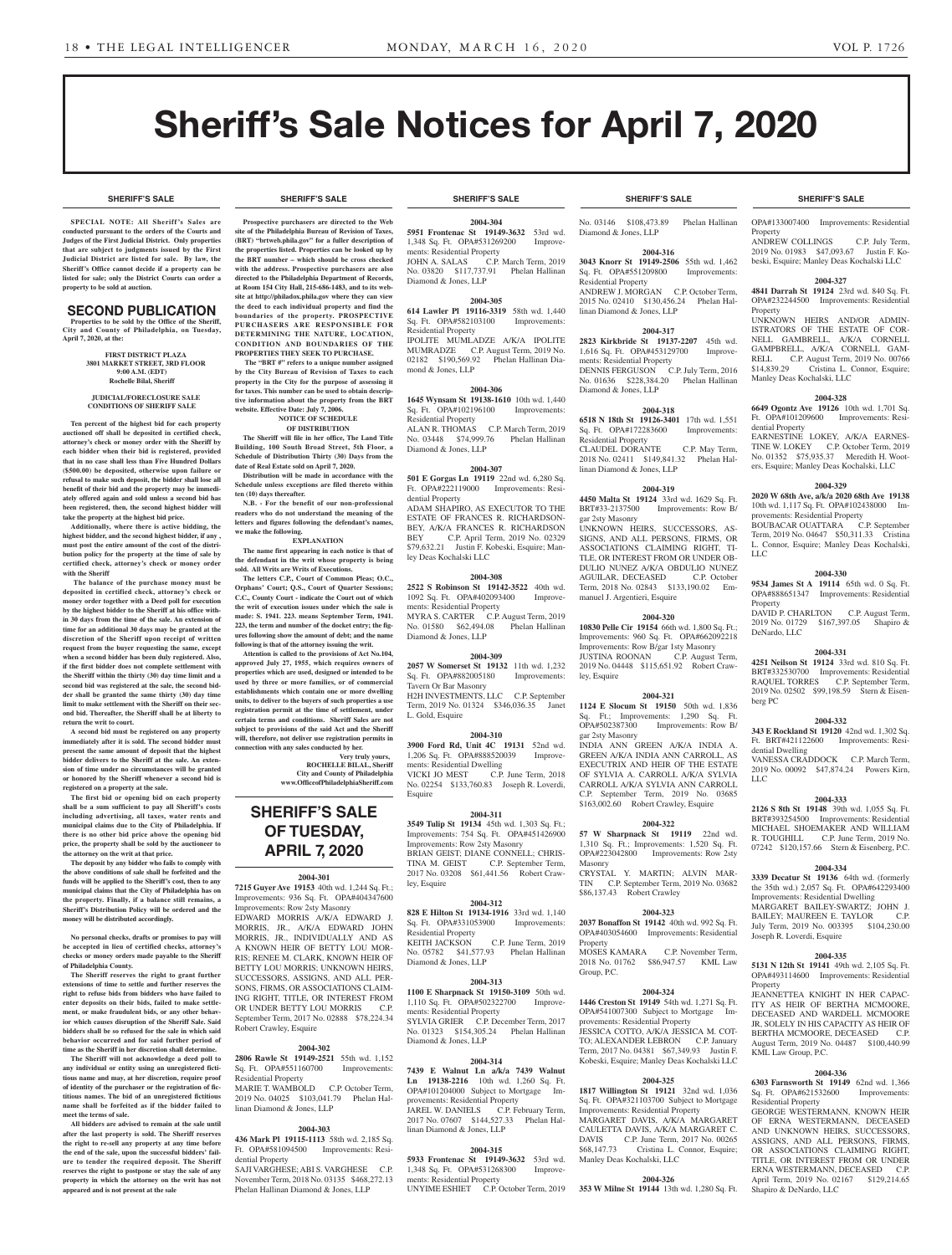**SHERIFF'S SALE SHERIFF'S SALE SHERIFF'S SALE SHERIFF'S SALE SHERIFF'S SALE**

# Sheriff's Sale Notices for April 7, 2020

**SPECIAL NOTE: All Sheriff 's Sales are conducted pursuant to the orders of the Courts and Judges of the First Judicial District. Only properties that are subject to judgments issued by the First Judicial District are listed for sale. By law, the Sheriff's Office cannot decide if a property can be listed for sale; only the District Courts can order a property to be sold at auction.** 

# SECOND PUBLICATION

**Properties to be sold by the Office of the Sheriff, City and County of Philadelphia, on Tuesday, April 7, 2020, at the:** 

#### **FIRST DISTRICT PLAZA 3801 MARKET STREET, 3RD FLOOR 9:00 A.M. (EDT) Rochelle Bilal, Sheriff**

#### **JUDICIAL/FORECLOSURE SALE CONDITIONS OF SHERIFF SALE**

**Ten percent of the highest bid for each property auctioned off shall be deposited in certified check, attorney's check or money order with the Sheriff by each bidder when their bid is registered, provided that in no case shall less than Five Hundred Dollars (\$500.00) be deposited, otherwise upon failure or refusal to make such deposit, the bidder shall lose all benefit of their bid and the property may be immediately offered again and sold unless a second bid has been registered, then, the second highest bidder will take the property at the highest bid price.**

**Additionally, where there is active bidding, the highest bidder, and the second highest bidder, if any , must post the entire amount of the cost of the distribution policy for the property at the time of sale by certified check, attorney's check or money order with the Sheriff**

 **The balance of the purchase money must be deposited in certified check, attorney's check or money order together with a Deed poll for execution by the highest bidder to the Sheriff at his office within 30 days from the time of the sale. An extension of time for an additional 30 days may be granted at the discretion of the Sheriff upon receipt of written request from the buyer requesting the same, except when a second bidder has been duly registered. Also, if the first bidder does not complete settlement with the Sheriff within the thirty (30) day time limit and a second bid was registered at the sale, the second bidder shall be granted the same thirty (30) day time limit to make settlement with the Sheriff on their second bid. Thereafter, the Sheriff shall be at liberty to return the writ to court.**

**A second bid must be registered on any property immediately after it is sold. The second bidder must present the same amount of deposit that the highest bidder delivers to the Sheriff at the sale. An extension of time under no circumstances will be granted or honored by the Sheriff whenever a second bid is registered on a property at the sale.** 

**The first bid or opening bid on each property shall be a sum sufficient to pay all Sheriff's costs including advertising, all taxes, water rents and municipal claims due to the City of Philadelphia. If there is no other bid price above the opening bid price, the property shall be sold by the auctioneer to the attorney on the writ at that price.**

**The deposit by any bidder who fails to comply with the above conditions of sale shall be forfeited and the funds will be applied to the Sheriff's cost, then to any municipal claims that the City of Philadelphia has on the property. Finally, if a balance still remains, a Sheriff's Distribution Policy will be ordered and the money will be distributed accordingly.**

**No personal checks, drafts or promises to pay will be accepted in lieu of certified checks, attorney's checks or money orders made payable to the Sheriff of Philadelphia County.**

**The Sheriff reserves the right to grant further extensions of time to settle and further reserves the right to refuse bids from bidders who have failed to enter deposits on their bids, failed to make settlement, or make fraudulent bids, or any other behavior which causes disruption of the Sheriff Sale. Said bidders shall be so refused for the sale in which said behavior occurred and for said further period of**  time as the Sheriff in her discretion shall determine

**The Sheriff will not acknowledge a deed poll to any individual or entity using an unregistered fictitious name and may, at her discretion, require proof of identity of the purchaser or the registration of fictitious names. The bid of an unregistered fictitious name shall be forfeited as if the bidder failed to meet the terms of sale.**

**All bidders are advised to remain at the sale until after the last property is sold. The Sheriff reserves the right to re-sell any property at any time before the end of the sale, upon the successful bidders' failure to tender the required deposit. The Sheriff reserves the right to postpone or stay the sale of any property in which the attorney on the writ has not appeared and is not present at the sale**

**Prospective purchasers are directed to the Web site of the Philadelphia Bureau of Revision of Taxes, (BRT) "brtweb.phila.gov" for a fuller description of the properties listed. Properties can be looked up by the BRT number – which should be cross checked with the address. Prospective purchasers are also directed to the Philadelphia Department of Records, at Room 154 City Hall, 215-686-1483, and to its website at http://philadox.phila.gov where they can view the deed to each individual property and find the boundaries of the property. PROSPECTIVE PURCHASERS ARE RESPONSIBLE FOR DETERMINING THE NATURE, LOCATION, CONDITION AND BOUNDARIES OF THE PROPERTIES THEY SEEK TO PURCHASE. The "BRT #" refers to a unique number assigned by the City Bureau of Revision of Taxes to each property in the City for the purpose of assessing it for taxes. This number can be used to obtain descriptive information about the property from the BRT** 

**website. Effective Date: July 7, 2006.**

**ten (10) days thereafter.**

**we make the following.**

**NOTICE OF SCHEDULE OF DISTRIBUTION The Sheriff will file in her office, The Land Title Building, 100 South Broad Street, 5th Floor, a Schedule of Distribution Thirty (30) Days from the date of Real Estate sold on April 7, 2020.**

**Distribution will be made in accordance with the Schedule unless exceptions are filed thereto within** 

**N.B. - For the benefit of our non-professional readers who do not understand the meaning of the letters and figures following the defendant's names,** 

**EXPLANATION The name first appearing in each notice is that of the defendant in the writ whose property is being sold. All Writs are Writs of Executions.**

**The letters C.P., Court of Common Pleas; O.C., Orphans' Court; Q.S., Court of Quarter Sessions; C.C., County Court - indicate the Court out of which the writ of execution issues under which the sale is made: S. 1941. 223. means September Term, 1941. 223, the term and number of the docket entry; the figures following show the amount of debt; and the name following is that of the attorney issuing the writ. Attention is called to the provisions of Act No.104, approved July 27, 1955, which requires owners of properties which are used, designed or intended to be used by three or more families, or of commercial establishments which contain one or more dwelling units, to deliver to the buyers of such properties a use registration permit at the time of settlement, under certain terms and conditions. Sheriff Sales are not subject to provisions of the said Act and the Sheriff will, therefore, not deliver use registration permits in connection with any sales conducted by her.**

> **SHERIFF'S SALE OF TUESDAY, APRIL 7, 2020**

**2004-301 7215 Guyer Ave 19153** 40th wd. 1,244 Sq. Ft.; Improvements: 936 Sq. Ft. OPA#404347600 Improvements: Row 2sty Masonry

EDWARD MORRIS A/K/A EDWARD J. MORRIS, JR., A/K/A EDWARD JOHN MORRIS, JR., INDIVIDUALLY AND AS A KNOWN HEIR OF BETTY LOU MOR-RIS; RENEE M. CLARK, KNOWN HEIR OF BETTY LOU MORRIS: UNKNOWN HEIRS SUCCESSORS, ASSIGNS, AND ALL PER-SONS, FIRMS, OR ASSOCIATIONS CLAIM-ING RIGHT, TITLE, OR INTEREST FROM OR UNDER BETTY LOU MORRIS C.P. September Term, 2017 No. 02888 \$78,224.34

**2004-302 2806 Rawle St 19149-2521** 55th wd. 1,152 Sq. Ft. OPA#551160700 Improvements:

MARIE T. WAMBOLD C.P. October Term, 2019 No. 04025 \$103,041.79 Phelan Hal-

**2004-303 436 Mark Pl 19115-1113** 58th wd. 2,185 Sq. Ft. OPA#581094500 Improvements: Resi-

SAJI VARGHESE; ABI S. VARGHESE C.P. November Term, 2018 No. 03135 \$468,272.13 Phelan Hallinan Diamond & Jones, LLP

Robert Crawley, Esquire

Residential Property

dential Property

linan Diamond & Jones, LLP

**Very truly yours, ROCHELLE BILAL, Sheriff City and County of Philadelphia www.OfficeofPhiladelphiaSheriff.com**

#### **SHERIFF'S SALE SHERIFF'S SALE SHERIFF'S SALE SHERIFF'S SALE SHERIFF'S SALE**

**2004-304 5951 Frontenac St 19149-3632** 53rd wd. 1,348 Sq. Ft. OPA#531269200 Improvements: Residential Property<br>JOHN A. SALAS C.P. C.P. March Term, 2019 No. 03820 \$117,737.91 Phelan Hallinan Diamond & Jones, LLP

#### **2004-305**

**614 Lawler Pl 19116-3319** 58th wd. 1,440 Sq. Ft. OPA#582103100 Residential Property IPOLITE MUMLADZE A/K/A IPOLITE MUMRADZE C.P. August Term, 2019 No. 02182 \$190,569.92 Phelan Hallinan Diamond & Jones, LLP

#### **2004-306 1645 Wynsam St 19138-1610** 10th wd. 1,440

Sq. Ft. OPA#102196100 Improvements: Residential Property<br>ALAN R. THOMAS C.P. March Term, 2019 No. 03448 \$74,999.76 Phelan Hallinan Diamond & Jones, LLP

#### **2004-307**

**501 E Gorgas Ln 19119** 22nd wd. 6,280 Sq. Ft. OPA#222119000 Improvements: Residential Property ADAM SHAPIRO, AS EXECUTOR TO THE

ESTATE OF FRANCES R. RICHARDSON-BEY, A/K/A FRANCES R. RICHARDSON<br>BEY C.P. April Term. 2019 No. 02329 C.P. April Term, 2019 No. 02329 \$79,632.21 Justin F. Kobeski, Esquire; Manley Deas Kochalski LLC

# **2004-308**

**2522 S Robinson St 19142-3522** 40th wd. 1092 Sq. Ft. OPA#402093400 Improvements: Residential Property MYRA S. CARTER C.P. August Term, 2019<br>No. 01580 \$62,494.08 Phelan Hallinan No. 01580 \$62,494.08 Diamond & Jones, LLP

#### **2004-309**

**2057 W Somerset St 19132** 11th wd. 1,232 Sq. Ft. OPA#882005180 Improvements: Tavern Or Bar Masonry H2H INVESTMENTS, LLC C.P. September Term, 2019 No. 01324 \$346,036.35 Janet L. Gold, Esquire

#### **2004-310**

**3900 Ford Rd, Unit 4C 19131** 52nd wd. 1,206 Sq. Ft. OPA#888520039 Improvements: Residential Dwelling<br>VICKI JO MEST C.P.

C.P. June Term, 2018 No. 02254 \$133,760.83 Joseph R. Loverdi, Esquire

#### **2004-311**

**3549 Tulip St 19134** 45th wd. 1,303 Sq. Ft.; Improvements: 754 Sq. Ft. OPA#451426900 Improvements: Row 2sty Masonry

BRIAN GEIST; DIANE CONNELL; CHRIS-TINA M. GEIST C.P. September Term, 2017 No. 03208 \$61,441.56 Robert Crawley, Esquire

## **2004-312**

**828 E Hilton St 19134-1916** 33rd wd. 1,140 Sq. Ft. OPA#331053900 Improvements:

Residential Property KEITH JACKSON C.P. June Term, 2019<br>No. 05782 \$41.577.93 Phelan Hallinan No. 05782 \$41,577.93 Diamond & Jones, LLP

#### **2004-313**

**1100 E Sharpnack St 19150-3109** 50th wd. 1,110 Sq. Ft. OPA#502322700 Improvements: Residential Property SYLVIA GRIER C.P. December Term, 2017

No. 01323 \$154,305.24 Phelan Hallinan Diamond & Jones, LLP

# **2004-314**

**7439 E Walnut Ln a/k/a 7439 Walnut Ln 19138-2216** 10th wd. 1,260 Sq. Ft. OPA#101204000 Subject to Mortgage Improvements: Residential Property JAREL W. DANIELS C.P. February Term, 2017 No. 07607 \$144,527.33 Phelan Hallinan Diamond & Jones, LLP

#### **2004-315**

**5933 Frontenac St 19149-3632** 53rd wd. 1,348 Sq. Ft. OPA#531268300 Improvements: Residential Property UNYIME ESHIET C.P. October Term, 2019

No. 03146 \$108,473.89 Phelan Hallinan Diamond & Jones, LLP

### **2004-316**

**3043 Knorr St 19149-2506** 55th wd. 1,462 Sq. Ft. OPA#551209800 Residential Property ANDREW J. MORGAN C.P. October Term, 2015 No. 02410 \$130,456.24 Phelan Hallinan Diamond & Jones, LLP

#### **2004-317**

**2823 Kirkbride St 19137-2207** 45th wd. 1,616 Sq. Ft. OPA#453129700 Improvements: Residential Property DENNIS FERGUSON C.P. July Term, 2016 No. 01636 \$228,384.20 Phelan Hallinan Diamond & Jones, LLP

#### **2004-318**

**6518 N 18th St 19126-3401** 17th wd. 1,551 Sq. Ft. OPA#172283600 Improvements: Residential Property CLAUDEL DORANTE C.P. May Term, 2018 No. 02411 \$149,841.32 Phelan Hallinan Diamond & Jones, LLP

#### **2004-319**

**4450 Malta St 19124** 33rd wd. 1629 Sq. Ft. Improvements: Row B/ gar 2sty Masonry UNKNOWN HEIRS, SUCCESSORS, AS-SIGNS, AND ALL PERSONS, FIRMS, OR ASSOCIATIONS CLAIMING RIGHT, TI-TLE, OR INTEREST FROM OR UNDER OB-DULIO NUNEZ A/K/A OBDULIO NUNEZ AGUILAR, DECEASED C.P. October AGUILAR, DECEASED

Term, 2018 No. 02843 \$133,190.02 Emmanuel J. Argentieri, Esquire **2004-320**

#### **10830 Pelle Cir 19154** 66th wd. 1,800 Sq. Ft.;

Improvements: 960 Sq. Ft. OPA#662092218 Improvements: Row B/gar 1sty Masonry JUSTINA ROONAN C.P. August Term, 2019 No. 04448 \$115,651.92 Robert Crawley, Esquire

## **2004-321**

**1124 E Slocum St 19150** 50th wd. 1,836 Sq. Ft.; Improvements: 1,290 Sq. Ft.<br>OPA#502387300 Improvements: Row B/ Improvements: Row B/ gar 2sty Masonry INDIA ANN GREEN A/K/A INDIA A. GREEN A/K/A INDIA ANN CARROLL, AS EXECUTRIX AND HEIR OF THE ESTATE OF SYLVIA A. CARROLL A/K/A SYLVIA CARROLL A/K/A SYLVIA ANN CARROLL C.P. September Term, 2019 No. 03685 \$163,002.60 Robert Crawley, Esquire

#### **2004-322**

**57 W Sharpnack St 19119** 22nd wd. 1,310 Sq. Ft.; Improvements: 1,520 Sq. Ft. Improvements: Row 2sty Masonry

CRYSTAL Y. MARTIN; ALVIN MAR-TIN C.P. September Term, 2019 No. 03682 \$86,137.43 Robert Crawley

#### **2004-323**

**2037 Bonaffon St 19142** 40th wd. 992 Sq. Ft. OPA#403054600 Improvements: Residential Property<br>MOSES KAMARA C.P. November Term, 2018 No. 01762 \$86,947.57 KML Law

#### **2004-324**

Group, P.C.

**1446 Creston St 19149** 54th wd. 1,271 Sq. Ft. OPA#541007300 Subject to Mortgage Improvements: Residential Property JESSICA COTTO, A/K/A JESSICA M. COT-TO; ALEXANDER LEBRON C.P. January Term, 2017 No. 04381 \$67,349.93 Justin F. Kobeski, Esquire; Manley Deas Kochalski LLC

#### **2004-325**

**1817 Willington St 19121** 32nd wd. 1,036 Sq. Ft. OPA#321103700 Subject to Mortgage Improvements: Residential Property MARGARET DAVIS, A/K/A MARGARET CAULETTA DAVIS, A/K/A MARGARET C. DAVIS C.P. June Term, 2017 No. 00265 \$68,147.73 Cristina L. Connor, Esquire; Manley Deas Kochalski, LLC

#### **2004-326**

**353 W Milne St 19144** 13th wd. 1,280 Sq. Ft.

OPA#133007400 Improvements: Residential Property ANDREW COLLINGS C.P. July Term,

2019 No. 01983 \$47,093.67 Justin F. Kobeski, Esquire; Manley Deas Kochalski LLC

#### **2004-327**

**4841 Darrah St 19124** 23rd wd. 840 Sq. Ft. OPA#232244500 Improvements: Residential Property

UNKNOWN HEIRS AND/OR ADMIN-ISTRATORS OF THE ESTATE OF COR-NELL GAMBRELL, A/K/A CORNELL GAMPBRELL, A/K/A CORNELL GAM-RELL C.P. August Term, 2019 No. 00766<br>\$14.839.29 Cristina L. Connor, Esquire Cristina L. Connor, Esquire; Manley Deas Kochalski, LLC

#### **2004-328**

**6649 Ogontz Ave 19126** 10th wd. 1,701 Sq. Ft. OPA#101209600 Improvements: Residential Property

EARNESTINE LOKEY, A/K/A EARNES-TINE W. LOKEY C.P. October Term, 2019 No. 01352 \$75,935.37 Meredith H. Wooters, Esquire; Manley Deas Kochalski, LLC

#### **2004-329**

**2020 W 68th Ave, a/k/a 2020 68th Ave 19138**  10th wd. 1,117 Sq. Ft. OPA#102438000 Improvements: Residential Property BOUBACAR OUATTARA C.P. September

Term, 2019 No. 04647 \$50,311.33 Cristina L. Connor, Esquire; Manley Deas Kochalski, LLC

#### **2004-330**

**9534 James St A 19114** 65th wd. 0 Sq. Ft. OPA#888651347 Improvements: Residential Property DAVID P. CHARLTON C.P. August Term,

2019 No. 01729 \$167,397.05 Shapiro & DeNardo, LLC

### **2004-331**

**4251 Neilson St 19124** 33rd wd. 810 Sq. Ft. BRT#332530700 Improvements: Residential RAQUEL TORRES C.P. September Term, 2019 No. 02502 \$99,198.59 Stern & Eisenberg PC

#### **2004-332**

**343 E Rockland St 19120** 42nd wd. 1,302 Sq. Ft. BRT#421122600 Improvements: Residential Dwelling VANESSA CRADDOCK C.P. March Term,

2019 No. 00092 \$47,874.24 Powers Kirn, LLC

#### **2004-333**

**2126 S 8th St 19148** 39th wd. 1,055 Sq. Ft. BRT#393254500 Improvements: Residential MICHAEL SHOEMAKER AND WILLIAM R. TOUGHILL C.P. June Term, 2019 No. 07242 \$120,157.66 Stern & Eisenberg, P.C.

# **2004-334**

**3339 Decatur St 19136** 64th wd. (formerly the 35th wd.) 2,057 Sq. Ft. OPA#642293400 Improvements: Residential Dwelling MARGARET BAILEY-SWARTZ; JOHN J. BAILEY; MAUREEN E. TAYLOR C.P. July Term, 2019 No. 003395 \$104,230.00

**2004-335 5131 N 12th St 19141** 49th wd. 2,105 Sq. Ft. OPA#493114600 Improvements: Residential

JEANNETTEA KNIGHT IN HER CAPAC-ITY AS HEIR OF BERTHA MCMOORE, DECEASED AND WARDELL MCMOORE JR, SOLELY IN HIS CAPACITY AS HEIR OF BERTHA MCMOORE, DECEASED C.P.<br>August Term. 2019 No. 04487 \$100.440.99 August Term, 2019 No. 04487 \$100.

**2004-336 6303 Farnsworth St 19149** 62nd wd. 1,366 Sq. Ft. OPA#621532600 Improvements:

GEORGE WESTERMANN, KNOWN HEIR OF ERNA WESTERMANN, DECEASED AND UNKNOWN HEIRS, SUCCESSORS, ASSIGNS, AND ALL PERSONS, FIRMS, OR ASSOCIATIONS CLAIMING RIGHT, TITLE, OR INTEREST FROM OR UNDER ERNA WESTERMANN, DECEASED C.P. April Term, 2019 No. 02167 \$129,214.65

Joseph R. Loverdi, Esquire

KML Law Group, P.C.

Residential Property

Shapiro & DeNardo, LLC

Property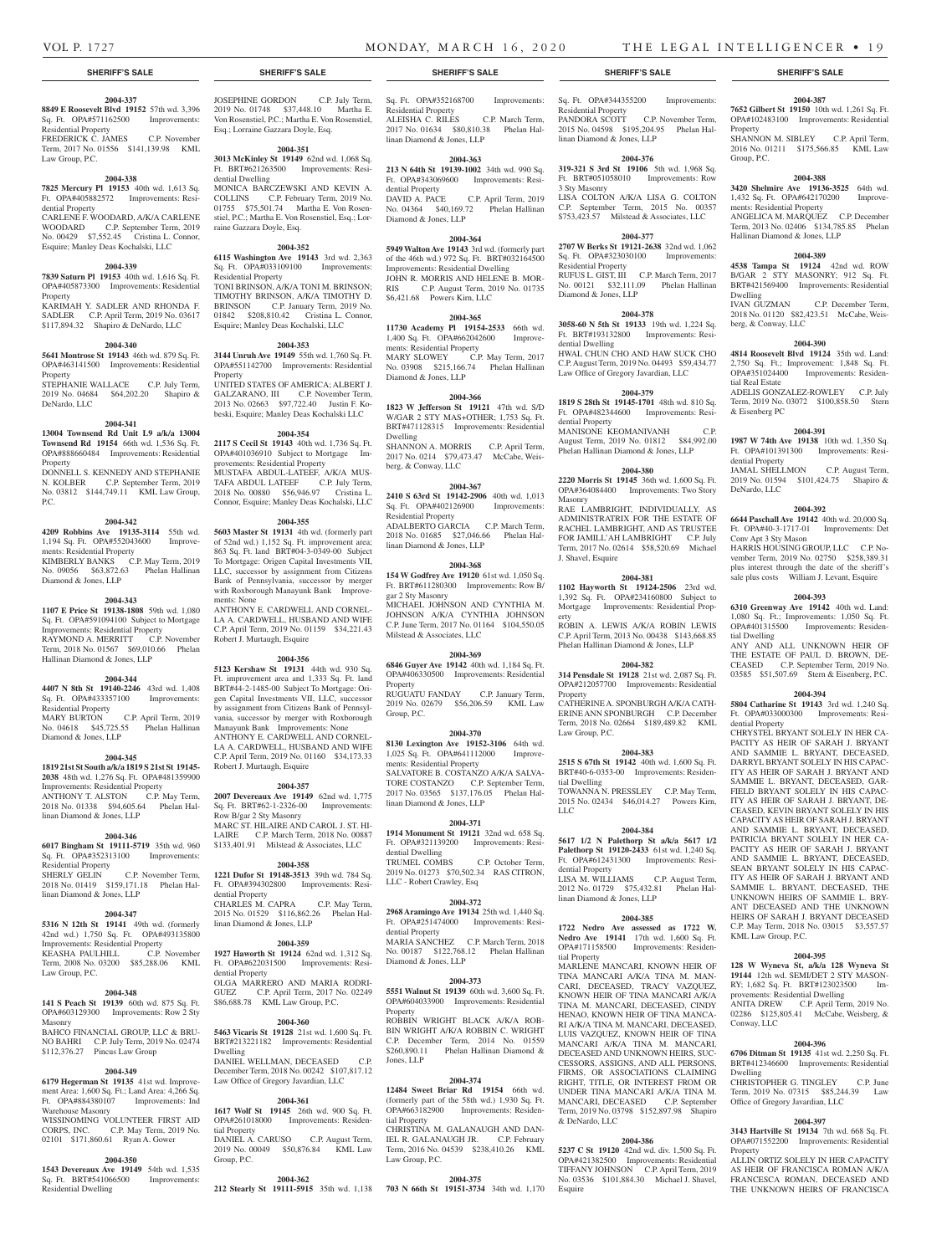# VOL P. 1727 MONDAY, MARCH 16, 2020 THE LEGAL INTELLIGENCER • 19

Property

Group, P.C.

**2004-387 7652 Gilbert St 19150** 10th wd. 1,261 Sq. Ft. OPA#102483100 Improvements: Residential

SHANNON M. SIBLEY C.P. April Term, 2016 No. 01211 \$175,566.85 KML Law

**2004-388 3420 Shelmire Ave 19136-3525** 64th wd. 1,432 Sq. Ft. OPA#642170200 Improve-

ANGELICA M. MARQUEZ C.P. December Term, 2013 No. 02406 \$134,785.85 Phelan

**2004-389 4538 Tampa St 19124** 42nd wd. ROW B/GAR 2 STY MASONRY; 912 Sq. Ft. BRT#421569400 Improvements: Residential

2018 No. 01120 \$82,423.51 McCabe, Weis-

**2004-390 4814 Roosevelt Blvd 19124** 35th wd. Land: 2,750 Sq. Ft.; Improvement: 1,848 Sq. Ft. OPA#351024400 Improvements: Residen-

ADELIS GONZALEZ-ROWLEY C.P. July Term, 2019 No. 03072 \$100,858.50 Stern

**2004-391 1987 W 74th Ave 19138** 10th wd. 1,350 Sq. Ft. OPA#101391300 Improvements: Resi-

JAMAL SHELLMON C.P. August Term, 2019 No. 01594 \$101,424.75 Shapiro &

**2004-392 6644 Paschall Ave 19142** 40th wd. 20,000 Sq. Ft. OPA#40-3-1717-01 Improvements: Det

HARRIS HOUSING GROUP, LLC C.P. November Term, 2019 No. 02750 \$258,389.31 plus interest through the date of the sheriff's sale plus costs William J. Levant, Esquire **2004-393 6310 Greenway Ave 19142** 40th wd. Land: 1,080 Sq. Ft.; Improvements: 1,050 Sq. Ft. OPA#401315500 Improvements: Residen-

ANY AND ALL UNKNOWN HEIR OF THE ESTATE OF PAUL D. BROWN, DE-CEASED C.P. September Term, 2019 No. 03585 \$51,507.69 Stern & Eisenberg, P.C. **2004-394 5804 Catharine St 19143** 3rd wd. 1,240 Sq. Ft. OPA#033000300 Improvements: Resi-

CHRYSTEL BRYANT SOLELY IN HER CA-PACITY AS HEIR OF SARAH J. BRYANT AND SAMMIE L. BRYANT, DECEASED, DARRYL BRYANT SOLELY IN HIS CAPAC-ITY AS HEIR OF SARAH J. BRYANT AND SAMMIE L. BRYANT, DECEASED, GAR-FIELD BRYANT SOLELY IN HIS CAPAC-ITY AS HEIR OF SARAH J. BRYANT, DE-CEASED, KEVIN BRYANT SOLELY IN HIS CAPACITY AS HEIR OF SARAH J. BRYANT AND SAMMIE L. BRYANT, DECEASED, PATRICIA BRYANT SOLELY IN HER CA-PACITY AS HEIR OF SARAH J. BRYANT AND SAMMIE L. BRYANT, DECEASED, SEAN BRYANT SOLELY IN HIS CAPAC-ITY AS HEIR OF SARAH J. BRYANT AND SAMMIE L. BRYANT, DECEASED, THE UNKNOWN HEIRS OF SAMMIE L. BRY-ANT DECEASED AND THE UNKNOWN HEIRS OF SARAH J. BRYANT DECEASED C.P. May Term, 2018 No. 03015 \$3,557.57

C.P. December Term,

ments: Residential Property

Dwelling<br>IVAN GUZMAN

tial Real Estate

& Eisenberg PC

dential Property

DeNardo, LLC

tial Dwelling

dential Property

KML Law Group, P.C.

Conway, LLC

Dwelling

Property

**2004-395 128 W Wyneva St, a/k/a 128 Wyneva St 19144** 12th wd. SEMI/DET 2 STY MASON-RY; 1,682 Sq. Ft. BRT#123023500 Improvements: Residential Dwelling

ANITA DREW C.P. April Term, 2019 No. 02286 \$125,805.41 McCabe, Weisberg, &

**2004-396 6706 Ditman St 19135** 41st wd. 2,250 Sq. Ft. BRT#412346600 Improvements: Residential

CHRISTOPHER G. TINGLEY C.P. June Term, 2019 No. 07315 \$85,244.39 Law

**2004-397 3143 Hartville St 19134** 7th wd. 668 Sq. Ft. OPA#071552200 Improvements: Residential

ALLIN ORTIZ SOLELY IN HER CAPACITY AS HEIR OF FRANCISCA ROMAN A/K/A FRANCESCA ROMAN, DECEASED AND THE UNKNOWN HEIRS OF FRANCISCA

Office of Gregory Javardian, LLC

Conv Apt 3 Sty Mason

berg, & Conway, LLC

Hallinan Diamond & Jones, LLP

Sq. Ft. OPA#344355200 Improvements:

PANDORA SCOTT C.P. November Term, 2015 No. 04598 \$195,204.95 Phelan Hal-

**2004-376 319-321 S 3rd St 19106** 5th wd. 1,968 Sq. Ft. BRT#051058010 Improvements: Row

LISA COLTON A/K/A LISA G. COLTON C.P. September Term, 2015 No. 00357 \$753,423.57 Milstead & Associates, LLC **2004-377 2707 W Berks St 19121-2638** 32nd wd. 1,062 Sq. Ft. OPA#323030100 Improvements:

RUFUS L. GIST, III C.P. March Term, 2017 No. 00121 \$32,111.09 Phelan Hallinan

**2004-378 3058-60 N 5th St 19133** 19th wd. 1,224 Sq. Ft. BRT#193132800 Improvements: Resi-

HWAL CHUN CHO AND HAW SUCK CHO C.P. August Term, 2019 No. 04493 \$59,434.77 Law Office of Gregory Javardian, LLC **2004-379 1819 S 28th St 19145-1701** 48th wd. 810 Sq. Ft. OPA#482344600 Improvements: Resi-

MANISONE KEOMANIVANH C.P. August Term, 2019 No. 01812 \$84,992.00 Phelan Hallinan Diamond & Jones, LLP **2004-380 2220 Morris St 19145** 36th wd. 1,600 Sq. Ft. OPA#364084400 Improvements: Two Story

RAE LAMBRIGHT, INDIVIDUALLY, AS ADMINISTRATRIX FOR THE ESTATE OF RACHEL LAMBRIGHT, AND AS TRUSTEE FOR JAMILL'AH LAMBRIGHT C.P. July Term, 2017 No. 02614 \$58,520.69 Michael

**2004-381 1102 Hayworth St 19124-2506** 23rd wd. 1,392 Sq. Ft. OPA#234160800 Subject to<br>Mortgage Improvements: Residential Prop-Improvements: Residential Prop-

ROBIN A. LEWIS A/K/A ROBIN LEWIS C.P. April Term, 2013 No. 00438 \$143,668.85 Phelan Hallinan Diamond & Jones, LLP **2004-382 314 Pensdale St 19128** 21st wd. 2,087 Sq. Ft. OPA#212057700 Improvements: Residential

CATHERINE A. SPONBURGH A/K/A CATH-ERINE ANN SPONBURGH C.P. December Term, 2018 No. 02664 \$189,489.82 KML

**2004-383 2515 S 67th St 19142** 40th wd. 1,600 Sq. Ft. BRT#40-6-0353-00 Improvements: Residen-

TOWANNA N. PRESSLEY C.P. May Term, 2015 No. 02434 \$46,014.27 Powers Kirn,

**2004-384 5617 1/2 N Palethorp St a/k/a 5617 1/2 Palethorp St 19120-2433** 61st wd. 1,240 Sq. Ft. OPA#612431300 Improvements: Resi-

LISA M. WILLIAMS C.P. August Term, 2012 No. 01729 \$75,432.81 Phelan Hal-

**2004-385 1722 Nedro Ave assessed as 1722 W. Nedro Ave 19141** 17th wd. 1,600 Sq. Ft. OPA#171158500 Improvements: Residen-

MARLENE MANCARI, KNOWN HEIR OF TINA MANCARI A/K/A TINA M. MAN-CARI, DECEASED, TRACY VAZQUEZ, KNOWN HEIR OF TINA MANCARI A/K/A TINA M. MANCARI, DECEASED, CINDY HENAO, KNOWN HEIR OF TINA MANCA-RI A/K/A TINA M. MANCARI, DECEASED, LUIS VAZQUEZ, KNOWN HEIR OF TINA MANCARI A/K/A TINA M. MANCARI DECEASED AND UNKNOWN HEIRS, SUC-CESSORS, ASSIGNS, AND ALL PERSONS, FIRMS, OR ASSOCIATIONS CLAIMING RIGHT, TITLE, OR INTEREST FROM OR UNDER TINA MANCARI A/K/A TINA M. MANCARI, DECEASED C.P. September Term, 2019 No. 03798 \$152,897.98 Shapiro

**2004-386 5237 C St 19120** 42nd wd. div. 1,500 Sq. Ft. OPA#421382500 Improvements: Residential TIFFANY JOHNSON C.P. April Term, 2019 No. 03536 \$101,884.30 Michael J. Shavel,

Residential Property

3 Sty Masonry

Residential Property

dential Dwelling

dential Property

Masonry

erty

Property

Law Group, P.C.

tial Dwelling

dential Property

tial Property

& DeNardo, LLC

Esquire

linan Diamond & Jones, LLP

LLC

J. Shavel, Esquire

Diamond & Jones, LLP

linan Diamond & Jones, LLP

#### **2004-337**

**8849 E Roosevelt Blvd 19152** 57th wd. 3,396 Sq. Ft. OPA#571162500 Improvements: Residential Property FREDERICK C. JAMES C.P. November

Term, 2017 No. 01556 \$141,139.98 KML Law Group, P.C.

#### **2004-338**

**7825 Mercury Pl 19153** 40th wd. 1,613 Sq. Ft. OPA#405882572 Improvements: Residential Property CARLENE F. WOODARD, A/K/A CARLENE

WOODARD C.P. September Term, 2019 No. 00429 \$7,552.45 Cristina L. Connor, Esquire; Manley Deas Kochalski, LLC

#### **2004-339**

**7839 Saturn Pl 19153** 40th wd. 1,616 Sq. Ft. OPA#405873300 Improvements: Residential Property KARIMAH Y. SADLER AND RHONDA F.

SADLER C.P. April Term, 2019 No. 03617 \$117,894.32 Shapiro & DeNardo, LLC

#### **2004-340**

**5641 Montrose St 19143** 46th wd. 879 Sq. Ft. OPA#463141500 Improvements: Residential **Property** 

STEPHANIE WALLACE C.P. July Term, 2019 No. 04684 \$64,202.20 Shapiro & DeNardo, LLC

#### **2004-341**

**13004 Townsend Rd Unit L9 a/k/a 13004 Townsend Rd 19154** 66th wd. 1,536 Sq. Ft. OPA#888660484 Improvements: Residential Property

DONNELL S. KENNEDY AND STEPHANIE N. KOLBER C.P. September Term, 2019 No. 03812 \$144,749.11 KML Law Group, P.C.

#### **2004-342**

**4209 Robbins Ave 19135-3114** 55th wd. 1,194 Sq. Ft. OPA#552043600 Improvements: Residential Property KIMBERLY BANKS C.P. May Term, 2019 No. 09056 \$63,872.63 Phelan Hallinan Diamond & Jones, LLP

#### **2004-343**

**1107 E Price St 19138-1808** 59th wd. 1,080 Sq. Ft. OPA#591094100 Subject to Mortgage Improvements: Residential Property RAYMOND A. MERRITT C.P. November Term, 2018 No. 01567 \$69,010.66 Phelan Hallinan Diamond & Jones, LLP

#### **2004-344**

**4407 N 8th St 19140-2246** 43rd wd. 1,408 Sq. Ft. OPA#433357100 Improvements: Residential Property MARY BURTON C.P. April Term, 2019 No. 04618 \$45,725.55 Phelan Hallinan Diamond & Jones, LLP

#### **2004-345**

**1819 21st St South a/k/a 1819 S 21st St 19145- 2038** 48th wd. 1,276 Sq. Ft. OPA#481359900 Improvements: Residential Property ANTHONY T. ALSTON C.P. May Term,

2018 No. 01338 \$94,605.64 Phelan Hallinan Diamond & Jones, LLP

#### **2004-346 6017 Bingham St 19111-5719** 35th wd. 960

Sq. Ft. OPA#352313100 Improvements: Residential Property SHERLY GELIN C.P. November Term,

# 2018 No. 01419 \$159,171.18 Phelan Hallinan Diamond & Jones, LLP

**2004-347**

**5316 N 12th St 19141** 49th wd. (formerly 42nd wd.) 1,750 Sq. Ft. OPA#493135800 Improvements: Residential Property KEASHA PAULHILL C.P. November

Term, 2008 No. 03200 \$85,288.06 KML Law Group, P.C.

#### **2004-348 141 S Peach St 19139** 60th wd. 875 Sq. Ft.

OPA#603129300 Improvements: Row 2 Sty Masonry BAHCO FINANCIAL GROUP, LLC & BRU-NO BAHRI C.P. July Term, 2019 No. 02474 \$112,376.27 Pincus Law Group

#### **2004-349**

**6179 Hegerman St 19135** 41st wd. Improvement Area: 1,600 Sq. Ft.; Land Area: 4,266 Sq. Ft. OPA#884380107 Improvements: Ind Warehouse Masonry WISSINOMING VOLUNTEER FIRST AID CORPS, INC. C.P. May Term, 2019 No.

02101 \$171,860.61 Ryan A. Gower

# **2004-350**

**1543 Devereaux Ave 19149** 54th wd. 1,535 Sq. Ft. BRT#541066500 Improvements: Residential Dwelling

## JOSEPHINE GORDON C.P. July Term, 2019 No. 01748 \$37,448.10 Martha E. Von Rosenstiel, P.C.; Martha E. Von Rosenstiel, Esq.; Lorraine Gazzara Doyle, Esq.

**2004-351 3013 McKinley St 19149** 62nd wd. 1,068 Sq. Ft BRT#621263500 Improvements: Residential Dwelling MONICA BARCZEWSKI AND KEVIN A.

COLLINS C.P. February Term, 2019 No. 01755 \$75,501.74 Martha E. Von Rosenstiel, P.C.; Martha E. Von Rosenstiel, Esq.; Lorraine Gazzara Doyle, Esq.

#### **2004-352**

**6115 Washington Ave 19143** 3rd wd. 2,363 Sq. Ft. OPA#033109100 Improvements: Residential Property TONI BRINSON, A/K/A TONI M. BRINSON; TIMOTHY BRINSON, A/K/A TIMOTHY D. BRINSON C.P. January Term, 2019 No. 01842 \$208,810.42 Cristina L. Connor, Esquire; Manley Deas Kochalski, LLC

#### **2004-353**

**3144 Unruh Ave 19149** 55th wd. 1,760 Sq. Ft. OPA#551142700 Improvements: Residential Property

UNITED STATES OF AMERICA; ALBERT J. GALZARANO, III C.P. November Term, 2013 No. 02663 \$97,722.40 Justin F. Kobeski, Esquire; Manley Deas Kochalski LLC

#### **2004-354**

**2117 S Cecil St 19143** 40th wd. 1,736 Sq. Ft. OPA#401036910 Subject to Mortgage Improvements: Residential Property MUSTAFA ABDUL-LATEEF, A/K/A MUS-TAFA ABDUL LATEEF C.P. July Term, 2018 No. 00880 \$56,946.97 Cristina L. Connor, Esquire; Manley Deas Kochalski, LLC

# **2004-355**

**5603 Master St 19131** 4th wd. (formerly part of 52nd wd.) 1,152 Sq. Ft. improvement area; 863 Sq. Ft. land BRT#04-3-0349-00 Subject To Mortgage: Origen Capital Investments VII, LLC, successor by assignment from Citizens Bank of Pennsylvania, successor by merger with Roxborough Manayunk Bank Improvements: None ANTHONY E. CARDWELL AND CORNEL-

LA A. CARDWELL, HUSBAND AND WIFE C.P. April Term, 2019 No. 01159 \$34,221.43 Robert J. Murtaugh, Esquire

#### **2004-356**

**5123 Kershaw St 19131** 44th wd. 930 Sq. Ft. improvement area and 1,333 Sq. Ft. land BRT#44-2-1485-00 Subject To Mortgage: Origen Capital Investments VII, LLC, successor by assignment from Citizens Bank of Pennsylvania, successor by merger with Roxborough Manayunk Bank Improvements: None ANTHONY E. CARDWELL AND CORNEL-LA A. CARDWELL, HUSBAND AND WIFE C.P. April Term, 2019 No. 01160 \$34,173.33 Robert J. Murtaugh, Esquire

#### **2004-357**

**2007 Devereaux Ave 19149** 62nd wd. 1,775 Sq. Ft. BRT#62-1-2326-00 Improvements: Row B/gar 2 Sty Masonry MARC ST. HILAIRE AND CAROL J. ST. HI-LAIRE C.P. March Term, 2018 No. 00887 \$133,401.91 Milstead & Associates, LLC

## **2004-358**

**1221 Dufor St 19148-3513** 39th wd. 784 Sq. Ft. OPA#394302800 Improvements: Residential Property CHARLES M. CAPRA C.P. May Term, 2015 No. 01529 \$116,862.26 Phelan Hallinan Diamond & Jones, LLP

#### **2004-359**

**1927 Haworth St 19124** 62nd wd. 1,312 Sq. Ft. OPA#622031500 Improvements: Residential Property OLGA MARRERO AND MARIA RODRI-GUEZ C.P. April Term, 2017 No. 02249 \$86,688.78 KML Law Group, P.C.

#### **2004-360**

**5463 Vicaris St 19128** 21st wd. 1,600 Sq. Ft. BRT#213221182 Improvements: Residential Dwelling DANIEL WELLMAN, DECEASED C.P. December Term, 2018 No. 00242 \$107,817.12 Law Office of Gregory Javardian, LLC

#### **2004-361**

**1617 Wolf St 19145** 26th wd. 900 Sq. Ft. OPA#261018000 Improvements: Residential Property DANIEL A. CARUSO C.P. August Term, 2019 No. 00049 \$50,876.84 KML Law Group, P.C.

# **2004-362**

**212 Stearly St 19111-5915** 35th wd. 1,138 **703 N 66th St 19151-3734** 34th wd. 1,170

# **SHERIFF'S SALE SHERIFF'S SALE SHERIFF'S SALE SHERIFF'S SALE SHERIFF'S SALE**

Sq. Ft. OPA#352168700 Improvements: Residential Property ALEISHA C. RILES C.P. March Term, 2017 No. 01634 \$80,810.38 Phelan Hallinan Diamond & Jones, LLP

#### **2004-363**

**213 N 64th St 19139-1002** 34th wd. 990 Sq. Ft. OPA#343069600 Improvements: Residential Property<br>DAVID A. PACE C.P. April Term, 2019 No. 04364 \$40,169.72 Phelan Hallinan Diamond & Jones, LLP

#### **2004-364**

**5949 Walton Ave 19143** 3rd wd. (formerly part of the 46th wd.) 972 Sq. Ft. BRT#032164500 Improvements: Residential Dwelling JOHN R. MORRIS AND HELENE B. MOR-RIS C.P. August Term, 2019 No. 01735 \$6,421.68 Powers Kirn, LLC

#### **2004-365**

**11730 Academy Pl 19154-2533** 66th wd. 1,400 Sq. Ft. OPA#662042600 Improvements: Residential Property MARY SLOWEY C.P. May Term, 2017 No. 03908 \$215,166.74 Phelan Hallinan Diamond & Jones, LLP

# **2004-366**

**1823 W Jefferson St 19121** 47th wd. S/D W/GAR 2 STY MAS+OTHER; 1,753 Sq. Ft. BRT#471128315 Improvements: Residential Dwelling

SHANNON A. MORRIS C.P. April Term, 2017 No. 0214 \$79,473.47 McCabe, Weisberg, & Conway, LLC

#### **2004-367**

**2410 S 63rd St 19142-2906** 40th wd. 1,013 Sq. Ft. OPA#402126900 Improvements: Residential Property ADALBERTO GARCIA C.P. March Term, 2018 No. 01685 \$27,046.66 Phelan Hallinan Diamond & Jones, LLP

**2004-368 154 W Godfrey Ave 19120** 61st wd. 1,050 Sq. Ft. BRT#611280300 Improvements: Row B/ gar 2 Sty Masonry

MICHAEL JOHNSON AND CYNTHIA M. JOHNSON A/K/A CYNTHIA JOHNSON C.P. June Term, 2017 No. 01164 \$104,550.05 Milstead & Associates, LLC

#### **2004-369**

**6846 Guyer Ave 19142** 40th wd. 1,184 Sq. Ft. OPA#406330500 Improvements: Residential Property RUGUATU FANDAY C.P. January Term,

2019 No. 02679 \$56,206.59 KML Law Group, P.C.

#### **2004-370**

**8130 Lexington Ave 19152-3106** 64th wd. 1,025 Sq. Ft. OPA#641112000 Improvements: Residential Property SALVATORE B. COSTANZO A/K/A SALVA-TORE COSTANZO C.P. September Term, 2017 No. 03565 \$137,176.05 Phelan Hal-

linan Diamond & Jones, LLP **2004-371**

**1914 Monument St 19121** 32nd wd. 658 Sq. Ft. OPA#321139200 Improvements: Residential Dwelling

TRUMEL COMBS C.P. October Term, 2019 No. 01273 \$70,502.34 RAS CITRON, LLC - Robert Crawley, Esq

#### **2004-372**

**2968 Aramingo Ave 19134** 25th wd. 1,440 Sq. Ft. OPA#251474000 Improvements: Residential Property MARIA SANCHEZ C.P. March Term, 2018

No. 00187 \$122,768.12 Phelan Hallinan Diamond & Jones, LLP

#### **2004-373**

**5551 Walnut St 19139** 60th wd. 3,600 Sq. Ft. OPA#604033900 Improvements: Residential Property

ROBBIN WRIGHT BLACK A/K/A ROB-BIN WRIGHT A/K/A ROBBIN C. WRIGHT C.P. December Term, 2014 No. 01559 \$260,890.11 Phelan Hallinan Diamond & Jones, LLP

#### **2004-374**

**12484 Sweet Briar Rd 19154** 66th wd. (formerly part of the 58th wd.) 1,930 Sq. Ft. OPA#663182900 Improvements: Residential Property

CHRISTINA M. GALANAUGH AND DAN-IEL R. GALANAUGH JR. C.P. February Term, 2016 No. 04539 \$238,410.26 KML

**2004-375**

Law Group, P.C.